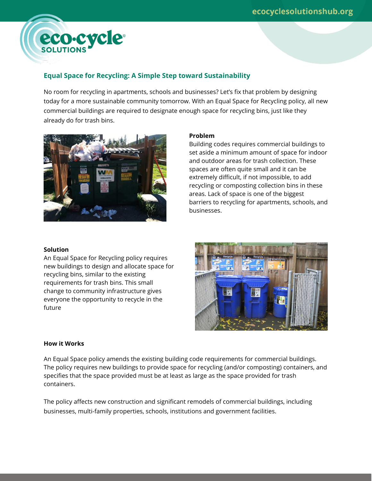

# **Equal Space for Recycling: A Simple Step toward Sustainability**

No room for recycling in apartments, schools and businesses? Let's fix that problem by designing today for a more sustainable community tomorrow. With an Equal Space for Recycling policy, all new commercial buildings are required to designate enough space for recycling bins, just like they already do for trash bins.



### **Problem**

Building codes requires commercial buildings to set aside a minimum amount of space for indoor and outdoor areas for trash collection. These spaces are often quite small and it can be extremely difficult, if not impossible, to add recycling or composting collection bins in these areas. Lack of space is one of the biggest barriers to recycling for apartments, schools, and businesses.

### **Solution**

An Equal Space for Recycling policy requires new buildings to design and allocate space for recycling bins, similar to the existing requirements for trash bins. This small change to community infrastructure gives everyone the opportunity to recycle in the future



#### **How it Works**

An Equal Space policy amends the existing building code requirements for commercial buildings. The policy requires new buildings to provide space for recycling (and/or composting) containers, and specifies that the space provided must be at least as large as the space provided for trash containers.

The policy affects new construction and significant remodels of commercial buildings, including businesses, multi-family properties, schools, institutions and government facilities.